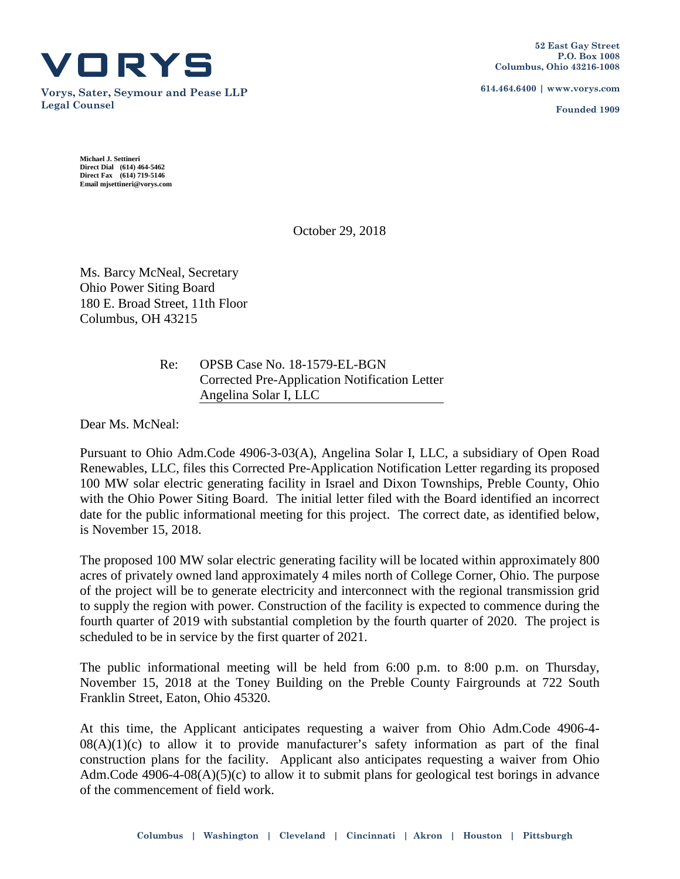

**Vorys, Sater, Seymour and Pease LLP Legal Counsel**

**614.464.6400 | www.vorys.com**

**Founded 1909**

**Michael J. Settineri Direct Dial (614) 464-5462 Direct Fax (614) 719-5146 Email mjsettineri@vorys.com** 

October 29, 2018

Ms. Barcy McNeal, Secretary Ohio Power Siting Board 180 E. Broad Street, 11th Floor Columbus, OH 43215

> Re: OPSB Case No. 18-1579-EL-BGN Corrected Pre-Application Notification Letter Angelina Solar I, LLC

Dear Ms. McNeal:

Pursuant to Ohio Adm.Code 4906-3-03(A), Angelina Solar I, LLC, a subsidiary of Open Road Renewables, LLC, files this Corrected Pre-Application Notification Letter regarding its proposed 100 MW solar electric generating facility in Israel and Dixon Townships, Preble County, Ohio with the Ohio Power Siting Board. The initial letter filed with the Board identified an incorrect date for the public informational meeting for this project. The correct date, as identified below, is November 15, 2018.

The proposed 100 MW solar electric generating facility will be located within approximately 800 acres of privately owned land approximately 4 miles north of College Corner, Ohio. The purpose of the project will be to generate electricity and interconnect with the regional transmission grid to supply the region with power. Construction of the facility is expected to commence during the fourth quarter of 2019 with substantial completion by the fourth quarter of 2020. The project is scheduled to be in service by the first quarter of 2021.

The public informational meeting will be held from 6:00 p.m. to 8:00 p.m. on Thursday, November 15, 2018 at the Toney Building on the Preble County Fairgrounds at 722 South Franklin Street, Eaton, Ohio 45320.

At this time, the Applicant anticipates requesting a waiver from Ohio Adm.Code 4906-4-  $08(A)(1)(c)$  to allow it to provide manufacturer's safety information as part of the final construction plans for the facility. Applicant also anticipates requesting a waiver from Ohio Adm.Code  $4906-4-08(A)(5)(c)$  to allow it to submit plans for geological test borings in advance of the commencement of field work.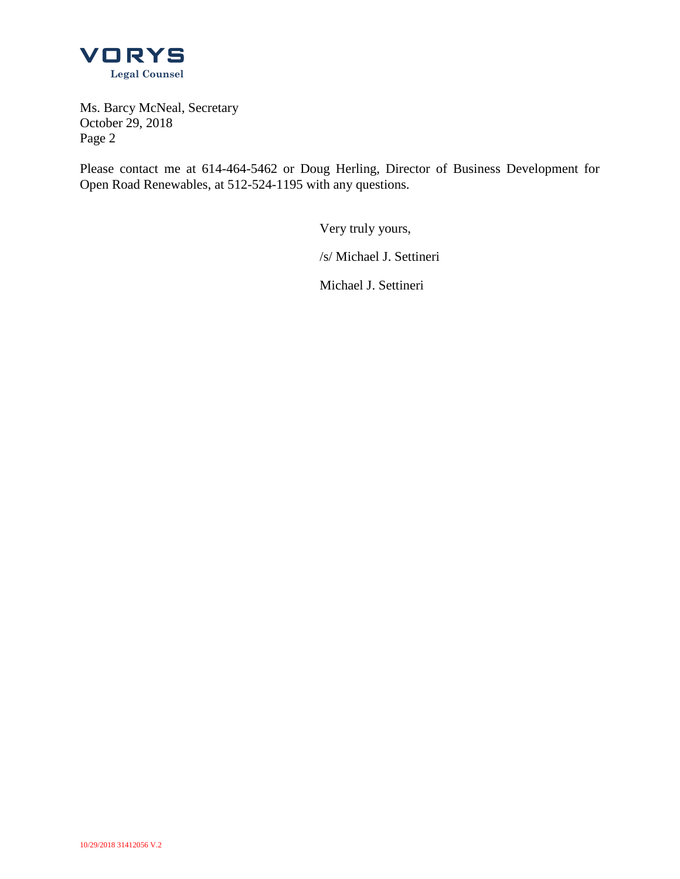

Ms. Barcy McNeal, Secretary October 29, 2018 Page 2

Please contact me at 614-464-5462 or Doug Herling, Director of Business Development for Open Road Renewables, at 512-524-1195 with any questions.

Very truly yours,

/s/ Michael J. Settineri

Michael J. Settineri